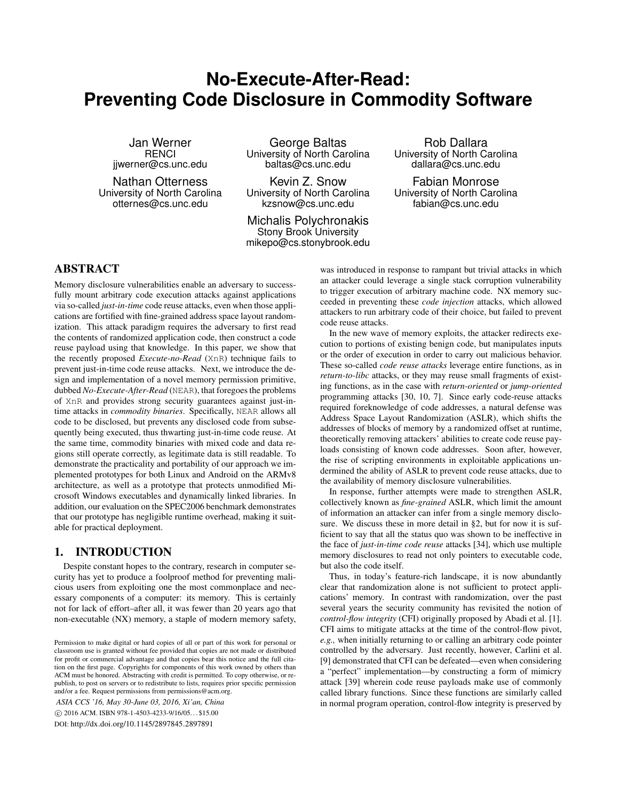# **No-Execute-After-Read: Preventing Code Disclosure in Commodity Software**

Jan Werner RENCI jjwerner@cs.unc.edu

Nathan Otterness University of North Carolina otternes@cs.unc.edu

George Baltas University of North Carolina baltas@cs.unc.edu

Kevin Z. Snow University of North Carolina kzsnow@cs.unc.edu

Michalis Polychronakis Stony Brook University mikepo@cs.stonybrook.edu

Rob Dallara University of North Carolina dallara@cs.unc.edu

Fabian Monrose University of North Carolina fabian@cs.unc.edu

## ABSTRACT

Memory disclosure vulnerabilities enable an adversary to successfully mount arbitrary code execution attacks against applications via so-called *just-in-time* code reuse attacks, even when those applications are fortified with fine-grained address space layout randomization. This attack paradigm requires the adversary to first read the contents of randomized application code, then construct a code reuse payload using that knowledge. In this paper, we show that the recently proposed *Execute-no-Read* (XnR) technique fails to prevent just-in-time code reuse attacks. Next, we introduce the design and implementation of a novel memory permission primitive, dubbed *No-Execute-After-Read* (NEAR), that foregoes the problems of XnR and provides strong security guarantees against just-intime attacks in *commodity binaries*. Specifically, NEAR allows all code to be disclosed, but prevents any disclosed code from subsequently being executed, thus thwarting just-in-time code reuse. At the same time, commodity binaries with mixed code and data regions still operate correctly, as legitimate data is still readable. To demonstrate the practicality and portability of our approach we implemented prototypes for both Linux and Android on the ARMv8 architecture, as well as a prototype that protects unmodified Microsoft Windows executables and dynamically linked libraries. In addition, our evaluation on the SPEC2006 benchmark demonstrates that our prototype has negligible runtime overhead, making it suitable for practical deployment.

## 1. INTRODUCTION

Despite constant hopes to the contrary, research in computer security has yet to produce a foolproof method for preventing malicious users from exploiting one the most commonplace and necessary components of a computer: its memory. This is certainly not for lack of effort–after all, it was fewer than 20 years ago that non-executable (NX) memory, a staple of modern memory safety,

*ASIA CCS '16, May 30-June 03, 2016, Xi'an, China* c 2016 ACM. ISBN 978-1-4503-4233-9/16/05. . . \$15.00 DOI: http://dx.doi.org/10.1145/2897845.2897891

was introduced in response to rampant but trivial attacks in which an attacker could leverage a single stack corruption vulnerability to trigger execution of arbitrary machine code. NX memory succeeded in preventing these *code injection* attacks, which allowed attackers to run arbitrary code of their choice, but failed to prevent code reuse attacks.

In the new wave of memory exploits, the attacker redirects execution to portions of existing benign code, but manipulates inputs or the order of execution in order to carry out malicious behavior. These so-called *code reuse attacks* leverage entire functions, as in *return-to-libc* attacks, or they may reuse small fragments of existing functions, as in the case with *return-oriented* or *jump-oriented* programming attacks [30, 10, 7]. Since early code-reuse attacks required foreknowledge of code addresses, a natural defense was Address Space Layout Randomization (ASLR), which shifts the addresses of blocks of memory by a randomized offset at runtime, theoretically removing attackers' abilities to create code reuse payloads consisting of known code addresses. Soon after, however, the rise of scripting environments in exploitable applications undermined the ability of ASLR to prevent code reuse attacks, due to the availability of memory disclosure vulnerabilities.

In response, further attempts were made to strengthen ASLR, collectively known as *fine-grained* ASLR, which limit the amount of information an attacker can infer from a single memory disclosure. We discuss these in more detail in §2, but for now it is sufficient to say that all the status quo was shown to be ineffective in the face of *just-in-time code reuse* attacks [34], which use multiple memory disclosures to read not only pointers to executable code, but also the code itself.

Thus, in today's feature-rich landscape, it is now abundantly clear that randomization alone is not sufficient to protect applications' memory. In contrast with randomization, over the past several years the security community has revisited the notion of *control-flow integrity* (CFI) originally proposed by Abadi et al. [1]. CFI aims to mitigate attacks at the time of the control-flow pivot, *e.g.,* when initially returning to or calling an arbitrary code pointer controlled by the adversary. Just recently, however, Carlini et al. [9] demonstrated that CFI can be defeated—even when considering a "perfect" implementation—by constructing a form of mimicry attack [39] wherein code reuse payloads make use of commonly called library functions. Since these functions are similarly called in normal program operation, control-flow integrity is preserved by

Permission to make digital or hard copies of all or part of this work for personal or classroom use is granted without fee provided that copies are not made or distributed for profit or commercial advantage and that copies bear this notice and the full citation on the first page. Copyrights for components of this work owned by others than ACM must be honored. Abstracting with credit is permitted. To copy otherwise, or republish, to post on servers or to redistribute to lists, requires prior specific permission and/or a fee. Request permissions from permissions@acm.org.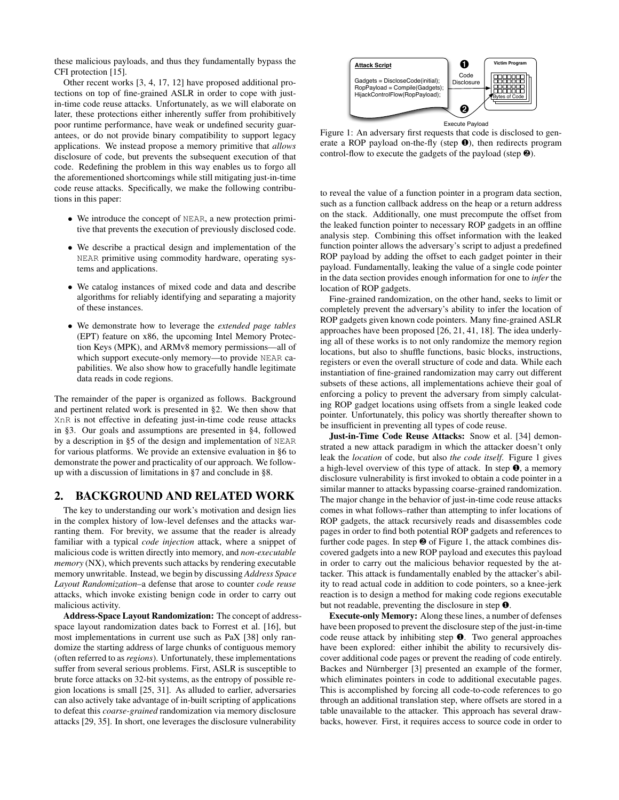these malicious payloads, and thus they fundamentally bypass the CFI protection [15].

Other recent works [3, 4, 17, 12] have proposed additional protections on top of fine-grained ASLR in order to cope with justin-time code reuse attacks. Unfortunately, as we will elaborate on later, these protections either inherently suffer from prohibitively poor runtime performance, have weak or undefined security guarantees, or do not provide binary compatibility to support legacy applications. We instead propose a memory primitive that *allows* disclosure of code, but prevents the subsequent execution of that code. Redefining the problem in this way enables us to forgo all the aforementioned shortcomings while still mitigating just-in-time code reuse attacks. Specifically, we make the following contributions in this paper:

- We introduce the concept of NEAR, a new protection primitive that prevents the execution of previously disclosed code.
- We describe a practical design and implementation of the NEAR primitive using commodity hardware, operating systems and applications.
- We catalog instances of mixed code and data and describe algorithms for reliably identifying and separating a majority of these instances.
- We demonstrate how to leverage the *extended page tables* (EPT) feature on x86, the upcoming Intel Memory Protection Keys (MPK), and ARMv8 memory permissions—all of which support execute-only memory—to provide NEAR capabilities. We also show how to gracefully handle legitimate data reads in code regions.

The remainder of the paper is organized as follows. Background and pertinent related work is presented in §2. We then show that XnR is not effective in defeating just-in-time code reuse attacks in §3. Our goals and assumptions are presented in §4, followed by a description in §5 of the design and implementation of NEAR for various platforms. We provide an extensive evaluation in §6 to demonstrate the power and practicality of our approach. We followup with a discussion of limitations in §7 and conclude in §8.

#### 2. BACKGROUND AND RELATED WORK

The key to understanding our work's motivation and design lies in the complex history of low-level defenses and the attacks warranting them. For brevity, we assume that the reader is already familiar with a typical *code injection* attack, where a snippet of malicious code is written directly into memory, and *non-executable memory* (NX), which prevents such attacks by rendering executable memory unwritable. Instead, we begin by discussing *Address Space Layout Randomization*–a defense that arose to counter *code reuse* attacks, which invoke existing benign code in order to carry out malicious activity.

Address-Space Layout Randomization: The concept of addressspace layout randomization dates back to Forrest et al. [16], but most implementations in current use such as PaX [38] only randomize the starting address of large chunks of contiguous memory (often referred to as *regions*). Unfortunately, these implementations suffer from several serious problems. First, ASLR is susceptible to brute force attacks on 32-bit systems, as the entropy of possible region locations is small [25, 31]. As alluded to earlier, adversaries can also actively take advantage of in-built scripting of applications to defeat this *coarse-grained* randomization via memory disclosure attacks [29, 35]. In short, one leverages the disclosure vulnerability



Figure 1: An adversary first requests that code is disclosed to generate a ROP payload on-the-fly (step ❶), then redirects program control-flow to execute the gadgets of the payload (step ❷).

to reveal the value of a function pointer in a program data section, such as a function callback address on the heap or a return address on the stack. Additionally, one must precompute the offset from the leaked function pointer to necessary ROP gadgets in an offline analysis step. Combining this offset information with the leaked function pointer allows the adversary's script to adjust a predefined ROP payload by adding the offset to each gadget pointer in their payload. Fundamentally, leaking the value of a single code pointer in the data section provides enough information for one to *infer* the location of ROP gadgets.

Fine-grained randomization, on the other hand, seeks to limit or completely prevent the adversary's ability to infer the location of ROP gadgets given known code pointers. Many fine-grained ASLR approaches have been proposed [26, 21, 41, 18]. The idea underlying all of these works is to not only randomize the memory region locations, but also to shuffle functions, basic blocks, instructions, registers or even the overall structure of code and data. While each instantiation of fine-grained randomization may carry out different subsets of these actions, all implementations achieve their goal of enforcing a policy to prevent the adversary from simply calculating ROP gadget locations using offsets from a single leaked code pointer. Unfortunately, this policy was shortly thereafter shown to be insufficient in preventing all types of code reuse.

Just-in-Time Code Reuse Attacks: Snow et al. [34] demonstrated a new attack paradigm in which the attacker doesn't only leak the *location* of code, but also *the code itself*. Figure 1 gives a high-level overview of this type of attack. In step  $\bullet$ , a memory disclosure vulnerability is first invoked to obtain a code pointer in a similar manner to attacks bypassing coarse-grained randomization. The major change in the behavior of just-in-time code reuse attacks comes in what follows–rather than attempting to infer locations of ROP gadgets, the attack recursively reads and disassembles code pages in order to find both potential ROP gadgets and references to further code pages. In step  $\Theta$  of Figure 1, the attack combines discovered gadgets into a new ROP payload and executes this payload in order to carry out the malicious behavior requested by the attacker. This attack is fundamentally enabled by the attacker's ability to read actual code in addition to code pointers, so a knee-jerk reaction is to design a method for making code regions executable but not readable, preventing the disclosure in step ❶.

Execute-only Memory: Along these lines, a number of defenses have been proposed to prevent the disclosure step of the just-in-time code reuse attack by inhibiting step ❶. Two general approaches have been explored: either inhibit the ability to recursively discover additional code pages or prevent the reading of code entirely. Backes and Nürnberger [3] presented an example of the former, which eliminates pointers in code to additional executable pages. This is accomplished by forcing all code-to-code references to go through an additional translation step, where offsets are stored in a table unavailable to the attacker. This approach has several drawbacks, however. First, it requires access to source code in order to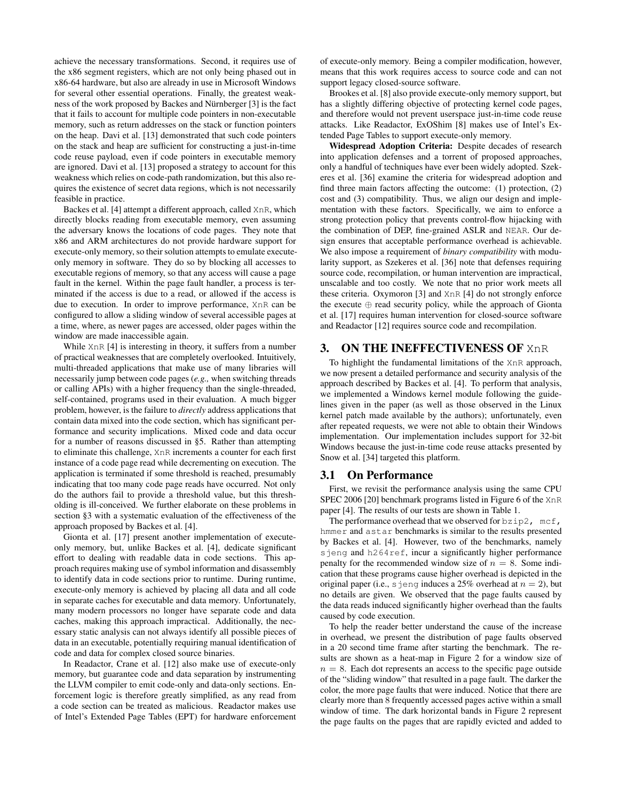achieve the necessary transformations. Second, it requires use of the x86 segment registers, which are not only being phased out in x86-64 hardware, but also are already in use in Microsoft Windows for several other essential operations. Finally, the greatest weakness of the work proposed by Backes and Nürnberger [3] is the fact that it fails to account for multiple code pointers in non-executable memory, such as return addresses on the stack or function pointers on the heap. Davi et al. [13] demonstrated that such code pointers on the stack and heap are sufficient for constructing a just-in-time code reuse payload, even if code pointers in executable memory are ignored. Davi et al. [13] proposed a strategy to account for this weakness which relies on code-path randomization, but this also requires the existence of secret data regions, which is not necessarily feasible in practice.

Backes et al. [4] attempt a different approach, called XnR, which directly blocks reading from executable memory, even assuming the adversary knows the locations of code pages. They note that x86 and ARM architectures do not provide hardware support for execute-only memory, so their solution attempts to emulate executeonly memory in software. They do so by blocking all accesses to executable regions of memory, so that any access will cause a page fault in the kernel. Within the page fault handler, a process is terminated if the access is due to a read, or allowed if the access is due to execution. In order to improve performance, XnR can be configured to allow a sliding window of several accessible pages at a time, where, as newer pages are accessed, older pages within the window are made inaccessible again.

While XnR [4] is interesting in theory, it suffers from a number of practical weaknesses that are completely overlooked. Intuitively, multi-threaded applications that make use of many libraries will necessarily jump between code pages (*e.g.,* when switching threads or calling APIs) with a higher frequency than the single-threaded, self-contained, programs used in their evaluation. A much bigger problem, however, is the failure to *directly* address applications that contain data mixed into the code section, which has significant performance and security implications. Mixed code and data occur for a number of reasons discussed in §5. Rather than attempting to eliminate this challenge, XnR increments a counter for each first instance of a code page read while decrementing on execution. The application is terminated if some threshold is reached, presumably indicating that too many code page reads have occurred. Not only do the authors fail to provide a threshold value, but this thresholding is ill-conceived. We further elaborate on these problems in section §3 with a systematic evaluation of the effectiveness of the approach proposed by Backes et al. [4].

Gionta et al. [17] present another implementation of executeonly memory, but, unlike Backes et al. [4], dedicate significant effort to dealing with readable data in code sections. This approach requires making use of symbol information and disassembly to identify data in code sections prior to runtime. During runtime, execute-only memory is achieved by placing all data and all code in separate caches for executable and data memory. Unfortunately, many modern processors no longer have separate code and data caches, making this approach impractical. Additionally, the necessary static analysis can not always identify all possible pieces of data in an executable, potentially requiring manual identification of code and data for complex closed source binaries.

In Readactor, Crane et al. [12] also make use of execute-only memory, but guarantee code and data separation by instrumenting the LLVM compiler to emit code-only and data-only sections. Enforcement logic is therefore greatly simplified, as any read from a code section can be treated as malicious. Readactor makes use of Intel's Extended Page Tables (EPT) for hardware enforcement of execute-only memory. Being a compiler modification, however, means that this work requires access to source code and can not support legacy closed-source software.

Brookes et al. [8] also provide execute-only memory support, but has a slightly differing objective of protecting kernel code pages, and therefore would not prevent userspace just-in-time code reuse attacks. Like Readactor, ExOShim [8] makes use of Intel's Extended Page Tables to support execute-only memory.

Widespread Adoption Criteria: Despite decades of research into application defenses and a torrent of proposed approaches, only a handful of techniques have ever been widely adopted. Szekeres et al. [36] examine the criteria for widespread adoption and find three main factors affecting the outcome: (1) protection, (2) cost and (3) compatibility. Thus, we align our design and implementation with these factors. Specifically, we aim to enforce a strong protection policy that prevents control-flow hijacking with the combination of DEP, fine-grained ASLR and NEAR. Our design ensures that acceptable performance overhead is achievable. We also impose a requirement of *binary compatibility* with modularity support, as Szekeres et al. [36] note that defenses requiring source code, recompilation, or human intervention are impractical, unscalable and too costly. We note that no prior work meets all these criteria. Oxymoron [3] and XnR [4] do not strongly enforce the execute  $oplus$  read security policy, while the approach of Gionta et al. [17] requires human intervention for closed-source software and Readactor [12] requires source code and recompilation.

## 3. ON THE INEFFECTIVENESS OF XnR

To highlight the fundamental limitations of the XnR approach, we now present a detailed performance and security analysis of the approach described by Backes et al. [4]. To perform that analysis, we implemented a Windows kernel module following the guidelines given in the paper (as well as those observed in the Linux kernel patch made available by the authors); unfortunately, even after repeated requests, we were not able to obtain their Windows implementation. Our implementation includes support for 32-bit Windows because the just-in-time code reuse attacks presented by Snow et al. [34] targeted this platform.

#### 3.1 On Performance

First, we revisit the performance analysis using the same CPU SPEC 2006 [20] benchmark programs listed in Figure 6 of the XnR paper [4]. The results of our tests are shown in Table 1.

The performance overhead that we observed for  $bzip2$ ,  $mcf$ , hmmer and astar benchmarks is similar to the results presented by Backes et al. [4]. However, two of the benchmarks, namely sjeng and h264ref, incur a significantly higher performance penalty for the recommended window size of  $n = 8$ . Some indication that these programs cause higher overhead is depicted in the original paper (i.e., s jeng induces a 25% overhead at  $n = 2$ ), but no details are given. We observed that the page faults caused by the data reads induced significantly higher overhead than the faults caused by code execution.

To help the reader better understand the cause of the increase in overhead, we present the distribution of page faults observed in a 20 second time frame after starting the benchmark. The results are shown as a heat-map in Figure 2 for a window size of  $n = 8$ . Each dot represents an access to the specific page outside of the "sliding window" that resulted in a page fault. The darker the color, the more page faults that were induced. Notice that there are clearly more than 8 frequently accessed pages active within a small window of time. The dark horizontal bands in Figure 2 represent the page faults on the pages that are rapidly evicted and added to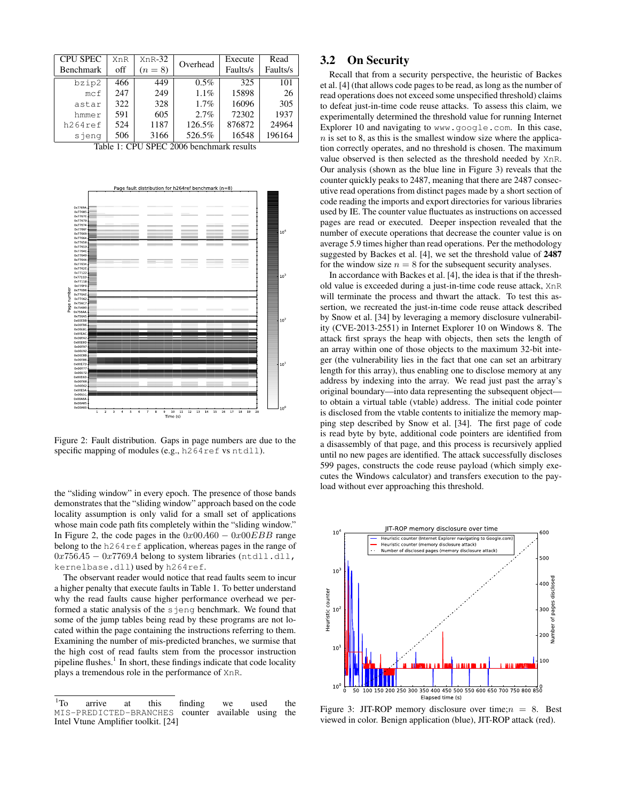| <b>CPU SPEC</b> | <b>XnR</b> | $XnR-32$  | Overhead | Execute  | Read     |
|-----------------|------------|-----------|----------|----------|----------|
| Benchmark       | off        | $(n = 8)$ |          | Faults/s | Faults/s |
| bzip2           | 466        | 449       | $0.5\%$  | 325      | 101      |
| mcf             | 247        | 249       | 1.1%     | 15898    | 26       |
| astar           | 322        | 328       | 1.7%     | 16096    | 305      |
| hmmer           | 591        | 605       | 2.7%     | 72302    | 1937     |
| h264ref         | 524        | 1187      | 126.5%   | 876872   | 24964    |
| sjeng           | 506        | 3166      | 526.5%   | 16548    | 196164   |

Table 1: CPU SPEC 2006 benchmark results



Figure 2: Fault distribution. Gaps in page numbers are due to the specific mapping of modules (e.g., h264ref vs ntdll).

the "sliding window" in every epoch. The presence of those bands demonstrates that the "sliding window" approach based on the code locality assumption is only valid for a small set of applications whose main code path fits completely within the "sliding window." In Figure 2, the code pages in the  $0x00A60 - 0x00EBB$  range belong to the h264ref application, whereas pages in the range of  $0x756A5 - 0x7769A$  belong to system libraries (ntdll.dll, kernelbase.dll) used by h264ref.

The observant reader would notice that read faults seem to incur a higher penalty that execute faults in Table 1. To better understand why the read faults cause higher performance overhead we performed a static analysis of the sjeng benchmark. We found that some of the jump tables being read by these programs are not located within the page containing the instructions referring to them. Examining the number of mis-predicted branches, we surmise that the high cost of read faults stem from the processor instruction pipeline flushes.<sup>1</sup> In short, these findings indicate that code locality plays a tremendous role in the performance of XnR.

## 3.2 On Security

Recall that from a security perspective, the heuristic of Backes et al. [4] (that allows code pages to be read, as long as the number of read operations does not exceed some unspecified threshold) claims to defeat just-in-time code reuse attacks. To assess this claim, we experimentally determined the threshold value for running Internet Explorer 10 and navigating to www.google.com. In this case,  $n$  is set to 8, as this is the smallest window size where the application correctly operates, and no threshold is chosen. The maximum value observed is then selected as the threshold needed by XnR. Our analysis (shown as the blue line in Figure 3) reveals that the counter quickly peaks to 2487, meaning that there are 2487 consecutive read operations from distinct pages made by a short section of code reading the imports and export directories for various libraries used by IE. The counter value fluctuates as instructions on accessed pages are read or executed. Deeper inspection revealed that the number of execute operations that decrease the counter value is on average 5.9 times higher than read operations. Per the methodology suggested by Backes et al. [4], we set the threshold value of 2487 for the window size  $n = 8$  for the subsequent security analyses.

In accordance with Backes et al. [4], the idea is that if the threshold value is exceeded during a just-in-time code reuse attack, XnR will terminate the process and thwart the attack. To test this assertion, we recreated the just-in-time code reuse attack described by Snow et al. [34] by leveraging a memory disclosure vulnerability (CVE-2013-2551) in Internet Explorer 10 on Windows 8. The attack first sprays the heap with objects, then sets the length of an array within one of those objects to the maximum 32-bit integer (the vulnerability lies in the fact that one can set an arbitrary length for this array), thus enabling one to disclose memory at any address by indexing into the array. We read just past the array's original boundary—into data representing the subsequent object to obtain a virtual table (vtable) address. The initial code pointer is disclosed from the vtable contents to initialize the memory mapping step described by Snow et al. [34]. The first page of code is read byte by byte, additional code pointers are identified from a disassembly of that page, and this process is recursively applied until no new pages are identified. The attack successfully discloses 599 pages, constructs the code reuse payload (which simply executes the Windows calculator) and transfers execution to the payload without ever approaching this threshold.



Figure 3: JIT-ROP memory disclosure over time;  $n = 8$ . Best viewed in color. Benign application (blue), JIT-ROP attack (red).

<sup>&</sup>lt;sup>1</sup>To arrive at this finding we used the MIS-PREDICTED-BRANCHES counter available using the Intel Vtune Amplifier toolkit. [24]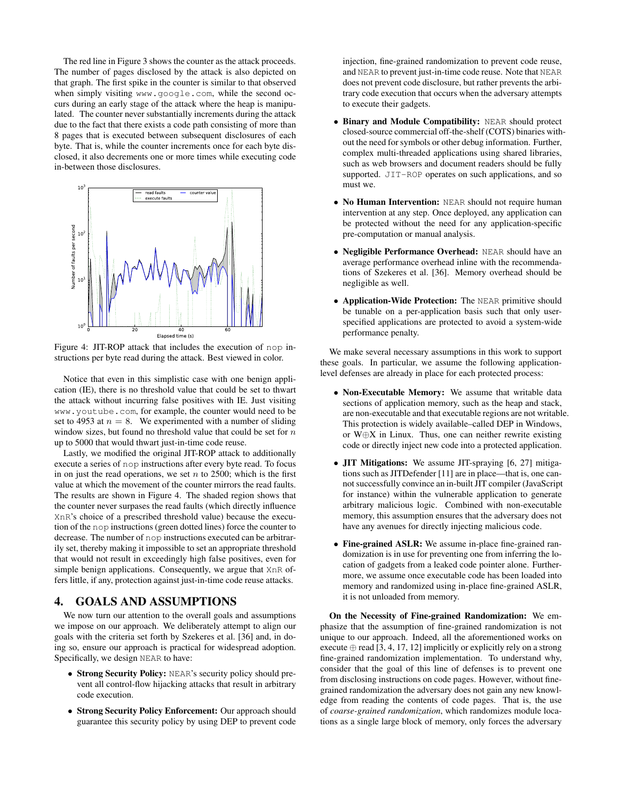The red line in Figure 3 shows the counter as the attack proceeds. The number of pages disclosed by the attack is also depicted on that graph. The first spike in the counter is similar to that observed when simply visiting www.qooqle.com, while the second occurs during an early stage of the attack where the heap is manipulated. The counter never substantially increments during the attack due to the fact that there exists a code path consisting of more than 8 pages that is executed between subsequent disclosures of each byte. That is, while the counter increments once for each byte disclosed, it also decrements one or more times while executing code in-between those disclosures.



Figure 4: JIT-ROP attack that includes the execution of nop instructions per byte read during the attack. Best viewed in color.

Notice that even in this simplistic case with one benign application (IE), there is no threshold value that could be set to thwart the attack without incurring false positives with IE. Just visiting www.youtube.com, for example, the counter would need to be set to 4953 at  $n = 8$ . We experimented with a number of sliding window sizes, but found no threshold value that could be set for  $n$ up to 5000 that would thwart just-in-time code reuse.

Lastly, we modified the original JIT-ROP attack to additionally execute a series of nop instructions after every byte read. To focus in on just the read operations, we set  $n$  to 2500; which is the first value at which the movement of the counter mirrors the read faults. The results are shown in Figure 4. The shaded region shows that the counter never surpases the read faults (which directly influence XnR's choice of a prescribed threshold value) because the execution of the nop instructions (green dotted lines) force the counter to decrease. The number of nop instructions executed can be arbitrarily set, thereby making it impossible to set an appropriate threshold that would not result in exceedingly high false positives, even for simple benign applications. Consequently, we argue that XnR offers little, if any, protection against just-in-time code reuse attacks.

## 4. GOALS AND ASSUMPTIONS

We now turn our attention to the overall goals and assumptions we impose on our approach. We deliberately attempt to align our goals with the criteria set forth by Szekeres et al. [36] and, in doing so, ensure our approach is practical for widespread adoption. Specifically, we design NEAR to have:

- Strong Security Policy: NEAR's security policy should prevent all control-flow hijacking attacks that result in arbitrary code execution.
- Strong Security Policy Enforcement: Our approach should guarantee this security policy by using DEP to prevent code

injection, fine-grained randomization to prevent code reuse, and NEAR to prevent just-in-time code reuse. Note that NEAR does not prevent code disclosure, but rather prevents the arbitrary code execution that occurs when the adversary attempts to execute their gadgets.

- Binary and Module Compatibility: NEAR should protect closed-source commercial off-the-shelf (COTS) binaries without the need for symbols or other debug information. Further, complex multi-threaded applications using shared libraries, such as web browsers and document readers should be fully supported. JIT-ROP operates on such applications, and so must we.
- No Human Intervention: NEAR should not require human intervention at any step. Once deployed, any application can be protected without the need for any application-specific pre-computation or manual analysis.
- Negligible Performance Overhead: NEAR should have an average performance overhead inline with the recommendations of Szekeres et al. [36]. Memory overhead should be negligible as well.
- Application-Wide Protection: The NEAR primitive should be tunable on a per-application basis such that only userspecified applications are protected to avoid a system-wide performance penalty.

We make several necessary assumptions in this work to support these goals. In particular, we assume the following applicationlevel defenses are already in place for each protected process:

- Non-Executable Memory: We assume that writable data sections of application memory, such as the heap and stack, are non-executable and that executable regions are not writable. This protection is widely available–called DEP in Windows, or W⊕X in Linux. Thus, one can neither rewrite existing code or directly inject new code into a protected application.
- JIT Mitigations: We assume JIT-spraying [6, 27] mitigations such as JITDefender [11] are in place—that is, one cannot successfully convince an in-built JIT compiler (JavaScript for instance) within the vulnerable application to generate arbitrary malicious logic. Combined with non-executable memory, this assumption ensures that the adversary does not have any avenues for directly injecting malicious code.
- Fine-grained ASLR: We assume in-place fine-grained randomization is in use for preventing one from inferring the location of gadgets from a leaked code pointer alone. Furthermore, we assume once executable code has been loaded into memory and randomized using in-place fine-grained ASLR, it is not unloaded from memory.

On the Necessity of Fine-grained Randomization: We emphasize that the assumption of fine-grained randomization is not unique to our approach. Indeed, all the aforementioned works on execute  $\oplus$  read [3, 4, 17, 12] implicitly or explicitly rely on a strong fine-grained randomization implementation. To understand why, consider that the goal of this line of defenses is to prevent one from disclosing instructions on code pages. However, without finegrained randomization the adversary does not gain any new knowledge from reading the contents of code pages. That is, the use of *coarse-grained randomization*, which randomizes module locations as a single large block of memory, only forces the adversary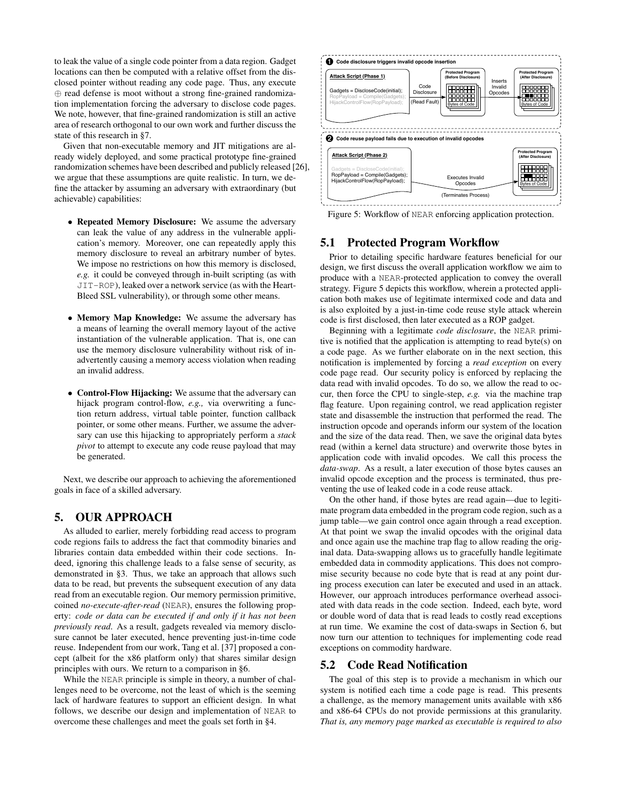to leak the value of a single code pointer from a data region. Gadget locations can then be computed with a relative offset from the disclosed pointer without reading any code page. Thus, any execute ⊕ read defense is moot without a strong fine-grained randomization implementation forcing the adversary to disclose code pages. We note, however, that fine-grained randomization is still an active area of research orthogonal to our own work and further discuss the state of this research in §7.

Given that non-executable memory and JIT mitigations are already widely deployed, and some practical prototype fine-grained randomization schemes have been described and publicly released [26], we argue that these assumptions are quite realistic. In turn, we define the attacker by assuming an adversary with extraordinary (but achievable) capabilities:

- Repeated Memory Disclosure: We assume the adversary can leak the value of any address in the vulnerable application's memory. Moreover, one can repeatedly apply this memory disclosure to reveal an arbitrary number of bytes. We impose no restrictions on how this memory is disclosed, *e.g.* it could be conveyed through in-built scripting (as with JIT-ROP), leaked over a network service (as with the Heart-Bleed SSL vulnerability), or through some other means.
- Memory Map Knowledge: We assume the adversary has a means of learning the overall memory layout of the active instantiation of the vulnerable application. That is, one can use the memory disclosure vulnerability without risk of inadvertently causing a memory access violation when reading an invalid address.
- Control-Flow Hijacking: We assume that the adversary can hijack program control-flow, *e.g.,* via overwriting a function return address, virtual table pointer, function callback pointer, or some other means. Further, we assume the adversary can use this hijacking to appropriately perform a *stack pivot* to attempt to execute any code reuse payload that may be generated.

Next, we describe our approach to achieving the aforementioned goals in face of a skilled adversary.

## 5. OUR APPROACH

As alluded to earlier, merely forbidding read access to program code regions fails to address the fact that commodity binaries and libraries contain data embedded within their code sections. Indeed, ignoring this challenge leads to a false sense of security, as demonstrated in §3. Thus, we take an approach that allows such data to be read, but prevents the subsequent execution of any data read from an executable region. Our memory permission primitive, coined *no-execute-after-read* (NEAR), ensures the following property: *code or data can be executed if and only if it has not been previously read*. As a result, gadgets revealed via memory disclosure cannot be later executed, hence preventing just-in-time code reuse. Independent from our work, Tang et al. [37] proposed a concept (albeit for the x86 platform only) that shares similar design principles with ours. We return to a comparison in §6.

While the NEAR principle is simple in theory, a number of challenges need to be overcome, not the least of which is the seeming lack of hardware features to support an efficient design. In what follows, we describe our design and implementation of NEAR to overcome these challenges and meet the goals set forth in §4.



Figure 5: Workflow of NEAR enforcing application protection.

## 5.1 Protected Program Workflow

Prior to detailing specific hardware features beneficial for our design, we first discuss the overall application workflow we aim to produce with a NEAR-protected application to convey the overall strategy. Figure 5 depicts this workflow, wherein a protected application both makes use of legitimate intermixed code and data and is also exploited by a just-in-time code reuse style attack wherein code is first disclosed, then later executed as a ROP gadget.

Beginning with a legitimate *code disclosure*, the NEAR primitive is notified that the application is attempting to read byte(s) on a code page. As we further elaborate on in the next section, this notification is implemented by forcing a *read exception* on every code page read. Our security policy is enforced by replacing the data read with invalid opcodes. To do so, we allow the read to occur, then force the CPU to single-step, *e.g.* via the machine trap flag feature. Upon regaining control, we read application register state and disassemble the instruction that performed the read. The instruction opcode and operands inform our system of the location and the size of the data read. Then, we save the original data bytes read (within a kernel data structure) and overwrite those bytes in application code with invalid opcodes. We call this process the *data-swap*. As a result, a later execution of those bytes causes an invalid opcode exception and the process is terminated, thus preventing the use of leaked code in a code reuse attack.

On the other hand, if those bytes are read again—due to legitimate program data embedded in the program code region, such as a jump table—we gain control once again through a read exception. At that point we swap the invalid opcodes with the original data and once again use the machine trap flag to allow reading the original data. Data-swapping allows us to gracefully handle legitimate embedded data in commodity applications. This does not compromise security because no code byte that is read at any point during process execution can later be executed and used in an attack. However, our approach introduces performance overhead associated with data reads in the code section. Indeed, each byte, word or double word of data that is read leads to costly read exceptions at run time. We examine the cost of data-swaps in Section 6, but now turn our attention to techniques for implementing code read exceptions on commodity hardware.

#### 5.2 Code Read Notification

The goal of this step is to provide a mechanism in which our system is notified each time a code page is read. This presents a challenge, as the memory management units available with x86 and x86-64 CPUs do not provide permissions at this granularity. *That is, any memory page marked as executable is required to also*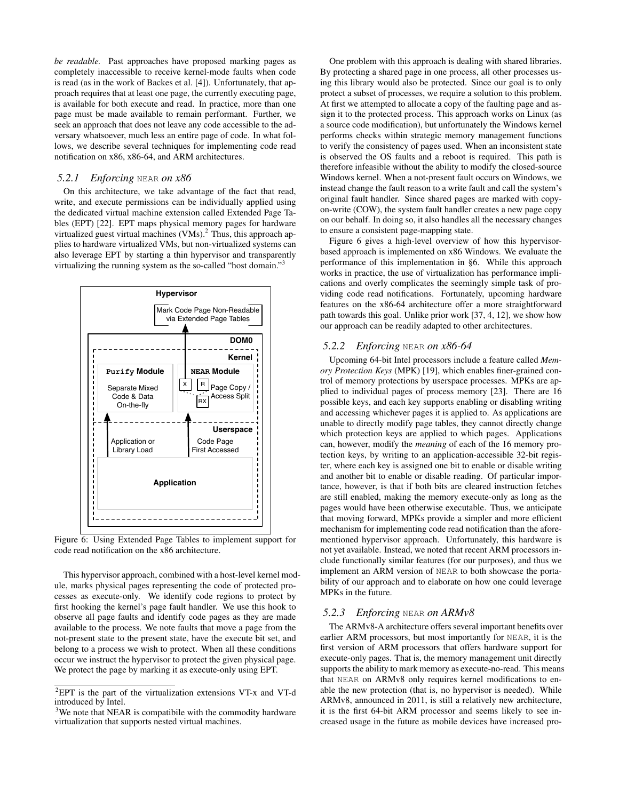*be readable.* Past approaches have proposed marking pages as completely inaccessible to receive kernel-mode faults when code is read (as in the work of Backes et al. [4]). Unfortunately, that approach requires that at least one page, the currently executing page, is available for both execute and read. In practice, more than one page must be made available to remain performant. Further, we seek an approach that does not leave any code accessible to the adversary whatsoever, much less an entire page of code. In what follows, we describe several techniques for implementing code read notification on x86, x86-64, and ARM architectures.

#### *5.2.1 Enforcing* NEAR *on x86*

On this architecture, we take advantage of the fact that read, write, and execute permissions can be individually applied using the dedicated virtual machine extension called Extended Page Tables (EPT) [22]. EPT maps physical memory pages for hardware virtualized guest virtual machines (VMs).<sup>2</sup> Thus, this approach applies to hardware virtualized VMs, but non-virtualized systems can also leverage EPT by starting a thin hypervisor and transparently virtualizing the running system as the so-called "host domain."<sup>3</sup>



Figure 6: Using Extended Page Tables to implement support for code read notification on the x86 architecture.

This hypervisor approach, combined with a host-level kernel module, marks physical pages representing the code of protected processes as execute-only. We identify code regions to protect by first hooking the kernel's page fault handler. We use this hook to observe all page faults and identify code pages as they are made available to the process. We note faults that move a page from the not-present state to the present state, have the execute bit set, and belong to a process we wish to protect. When all these conditions occur we instruct the hypervisor to protect the given physical page. We protect the page by marking it as execute-only using EPT.

One problem with this approach is dealing with shared libraries. By protecting a shared page in one process, all other processes using this library would also be protected. Since our goal is to only protect a subset of processes, we require a solution to this problem. At first we attempted to allocate a copy of the faulting page and assign it to the protected process. This approach works on Linux (as a source code modification), but unfortunately the Windows kernel performs checks within strategic memory management functions to verify the consistency of pages used. When an inconsistent state is observed the OS faults and a reboot is required. This path is therefore infeasible without the ability to modify the closed-source Windows kernel. When a not-present fault occurs on Windows, we instead change the fault reason to a write fault and call the system's original fault handler. Since shared pages are marked with copyon-write (COW), the system fault handler creates a new page copy on our behalf. In doing so, it also handles all the necessary changes to ensure a consistent page-mapping state.

Figure 6 gives a high-level overview of how this hypervisorbased approach is implemented on x86 Windows. We evaluate the performance of this implementation in §6. While this approach works in practice, the use of virtualization has performance implications and overly complicates the seemingly simple task of providing code read notifications. Fortunately, upcoming hardware features on the x86-64 architecture offer a more straightforward path towards this goal. Unlike prior work [37, 4, 12], we show how our approach can be readily adapted to other architectures.

#### *5.2.2 Enforcing* NEAR *on x86-64*

Upcoming 64-bit Intel processors include a feature called *Memory Protection Keys* (MPK) [19], which enables finer-grained control of memory protections by userspace processes. MPKs are applied to individual pages of process memory [23]. There are 16 possible keys, and each key supports enabling or disabling writing and accessing whichever pages it is applied to. As applications are unable to directly modify page tables, they cannot directly change which protection keys are applied to which pages. Applications can, however, modify the *meaning* of each of the 16 memory protection keys, by writing to an application-accessible 32-bit register, where each key is assigned one bit to enable or disable writing and another bit to enable or disable reading. Of particular importance, however, is that if both bits are cleared instruction fetches are still enabled, making the memory execute-only as long as the pages would have been otherwise executable. Thus, we anticipate that moving forward, MPKs provide a simpler and more efficient mechanism for implementing code read notification than the aforementioned hypervisor approach. Unfortunately, this hardware is not yet available. Instead, we noted that recent ARM processors include functionally similar features (for our purposes), and thus we implement an ARM version of NEAR to both showcase the portability of our approach and to elaborate on how one could leverage MPKs in the future.

#### *5.2.3 Enforcing* NEAR *on ARMv8*

The ARMv8-A architecture offers several important benefits over earlier ARM processors, but most importantly for NEAR, it is the first version of ARM processors that offers hardware support for execute-only pages. That is, the memory management unit directly supports the ability to mark memory as execute-no-read. This means that NEAR on ARMv8 only requires kernel modifications to enable the new protection (that is, no hypervisor is needed). While ARMv8, announced in 2011, is still a relatively new architecture, it is the first 64-bit ARM processor and seems likely to see increased usage in the future as mobile devices have increased pro-

<sup>2</sup>EPT is the part of the virtualization extensions VT-x and VT-d introduced by Intel.

 $3$ We note that NEAR is compatibile with the commodity hardware virtualization that supports nested virtual machines.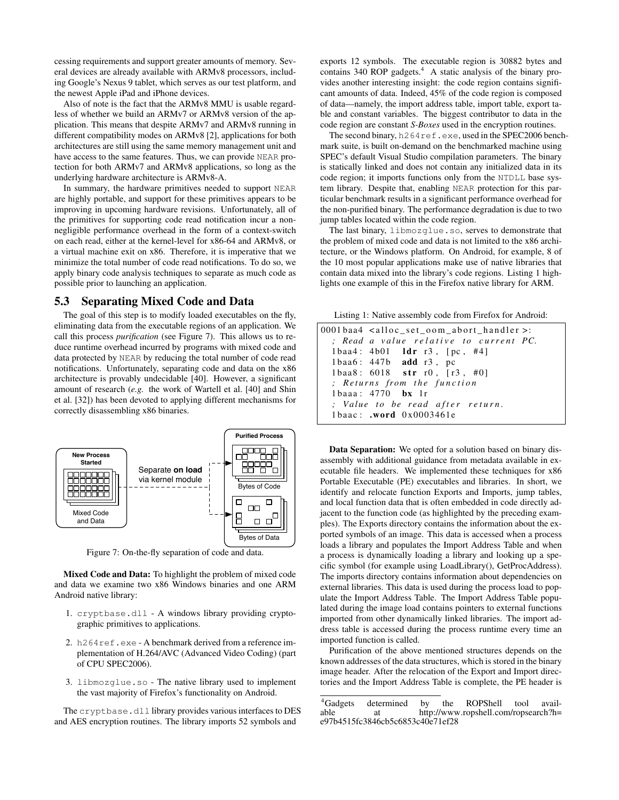cessing requirements and support greater amounts of memory. Several devices are already available with ARMv8 processors, including Google's Nexus 9 tablet, which serves as our test platform, and the newest Apple iPad and iPhone devices.

Also of note is the fact that the ARMv8 MMU is usable regardless of whether we build an ARMv7 or ARMv8 version of the application. This means that despite ARMv7 and ARMv8 running in different compatibility modes on ARMv8 [2], applications for both architectures are still using the same memory management unit and have access to the same features. Thus, we can provide NEAR protection for both ARMv7 and ARMv8 applications, so long as the underlying hardware architecture is ARMv8-A.

In summary, the hardware primitives needed to support NEAR are highly portable, and support for these primitives appears to be improving in upcoming hardware revisions. Unfortunately, all of the primitives for supporting code read notification incur a nonnegligible performance overhead in the form of a context-switch on each read, either at the kernel-level for x86-64 and ARMv8, or a virtual machine exit on x86. Therefore, it is imperative that we minimize the total number of code read notifications. To do so, we apply binary code analysis techniques to separate as much code as possible prior to launching an application.

#### 5.3 Separating Mixed Code and Data

The goal of this step is to modify loaded executables on the fly, eliminating data from the executable regions of an application. We call this process *purification* (see Figure 7). This allows us to reduce runtime overhead incurred by programs with mixed code and data protected by NEAR by reducing the total number of code read notifications. Unfortunately, separating code and data on the x86 architecture is provably undecidable [40]. However, a significant amount of research (*e.g.* the work of Wartell et al. [40] and Shin et al. [32]) has been devoted to applying different mechanisms for correctly disassembling x86 binaries.



Figure 7: On-the-fly separation of code and data.

Mixed Code and Data: To highlight the problem of mixed code and data we examine two x86 Windows binaries and one ARM Android native library:

- 1. cryptbase.dll A windows library providing cryptographic primitives to applications.
- 2. h264ref.exe A benchmark derived from a reference implementation of H.264/AVC (Advanced Video Coding) (part of CPU SPEC2006).
- 3. libmozglue.so The native library used to implement the vast majority of Firefox's functionality on Android.

The cryptbase.dll library provides various interfaces to DES and AES encryption routines. The library imports 52 symbols and

exports 12 symbols. The executable region is 30882 bytes and contains 340 ROP gadgets.<sup>4</sup> A static analysis of the binary provides another interesting insight: the code region contains significant amounts of data. Indeed, 45% of the code region is composed of data—namely, the import address table, import table, export table and constant variables. The biggest contributor to data in the code region are constant *S-Boxes* used in the encryption routines.

The second binary,  $h264 \text{ref}$ .exe, used in the SPEC2006 benchmark suite, is built on-demand on the benchmarked machine using SPEC's default Visual Studio compilation parameters. The binary is statically linked and does not contain any initialized data in its code region; it imports functions only from the NTDLL base system library. Despite that, enabling NEAR protection for this particular benchmark results in a significant performance overhead for the non-purified binary. The performance degradation is due to two jump tables located within the code region.

The last binary, libmozglue.so, serves to demonstrate that the problem of mixed code and data is not limited to the x86 architecture, or the Windows platform. On Android, for example, 8 of the 10 most popular applications make use of native libraries that contain data mixed into the library's code regions. Listing 1 highlights one example of this in the Firefox native library for ARM.

Listing 1: Native assembly code from Firefox for Android:

```
0001 baa4 < alloc_set_oom_abort_handler >:
  Read a value relative to current PC.
1 \text{baa4}: 4 \text{b01} 1 \text{dr } r3, \lceil pc, #4 \rceil1 baa 6: 447 b add r3, pc
1 \text{baa8}: 6018 \text{ str } r0, [r3, #0]; R et u r n s f r om t h e f u n c t i o n
1 baaa: 4770 bx lr
   Value to be read after return.
1baac: .word 0x0003461e
```
Data Separation: We opted for a solution based on binary disassembly with additional guidance from metadata available in executable file headers. We implemented these techniques for x86 Portable Executable (PE) executables and libraries. In short, we identify and relocate function Exports and Imports, jump tables, and local function data that is often embedded in code directly adjacent to the function code (as highlighted by the preceding examples). The Exports directory contains the information about the exported symbols of an image. This data is accessed when a process loads a library and populates the Import Address Table and when a process is dynamically loading a library and looking up a specific symbol (for example using LoadLibrary(), GetProcAddress). The imports directory contains information about dependencies on external libraries. This data is used during the process load to populate the Import Address Table. The Import Address Table populated during the image load contains pointers to external functions imported from other dynamically linked libraries. The import address table is accessed during the process runtime every time an imported function is called.

Purification of the above mentioned structures depends on the known addresses of the data structures, which is stored in the binary image header. After the relocation of the Export and Import directories and the Import Address Table is complete, the PE header is

<sup>&</sup>lt;sup>4</sup>Gadgets determined by the ROPShell tool available at http://www.ropshell.com/ropsearch?h= at http://www.ropshell.com/ropsearch?h= e97b4515fc3846cb5c6853c40e71ef28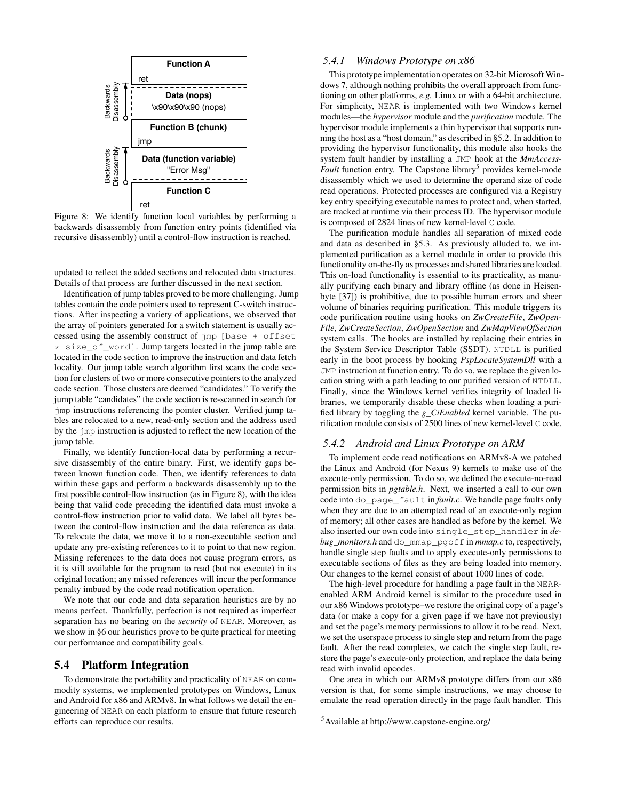

Figure 8: We identify function local variables by performing a backwards disassembly from function entry points (identified via recursive disassembly) until a control-flow instruction is reached.

updated to reflect the added sections and relocated data structures. Details of that process are further discussed in the next section.

Identification of jump tables proved to be more challenging. Jump tables contain the code pointers used to represent C-switch instructions. After inspecting a variety of applications, we observed that the array of pointers generated for a switch statement is usually accessed using the assembly construct of jmp [base + offset \* size of word]. Jump targets located in the jump table are located in the code section to improve the instruction and data fetch locality. Our jump table search algorithm first scans the code section for clusters of two or more consecutive pointers to the analyzed code section. Those clusters are deemed "candidates." To verify the jump table "candidates" the code section is re-scanned in search for jmp instructions referencing the pointer cluster. Verified jump tables are relocated to a new, read-only section and the address used by the jmp instruction is adjusted to reflect the new location of the jump table.

Finally, we identify function-local data by performing a recursive disassembly of the entire binary. First, we identify gaps between known function code. Then, we identify references to data within these gaps and perform a backwards disassembly up to the first possible control-flow instruction (as in Figure 8), with the idea being that valid code preceding the identified data must invoke a control-flow instruction prior to valid data. We label all bytes between the control-flow instruction and the data reference as data. To relocate the data, we move it to a non-executable section and update any pre-existing references to it to point to that new region. Missing references to the data does not cause program errors, as it is still available for the program to read (but not execute) in its original location; any missed references will incur the performance penalty imbued by the code read notification operation.

We note that our code and data separation heuristics are by no means perfect. Thankfully, perfection is not required as imperfect separation has no bearing on the *security* of NEAR. Moreover, as we show in §6 our heuristics prove to be quite practical for meeting our performance and compatibility goals.

## 5.4 Platform Integration

To demonstrate the portability and practicality of NEAR on commodity systems, we implemented prototypes on Windows, Linux and Android for x86 and ARMv8. In what follows we detail the engineering of NEAR on each platform to ensure that future research efforts can reproduce our results.

#### *5.4.1 Windows Prototype on x86*

This prototype implementation operates on 32-bit Microsoft Windows 7, although nothing prohibits the overall approach from functioning on other platforms, *e.g.* Linux or with a 64-bit architecture. For simplicity, NEAR is implemented with two Windows kernel modules—the *hypervisor* module and the *purification* module. The hypervisor module implements a thin hypervisor that supports running the host as a "host domain," as described in §5.2. In addition to providing the hypervisor functionality, this module also hooks the system fault handler by installing a JMP hook at the *MmAccess-*Fault function entry. The Capstone library<sup>5</sup> provides kernel-mode disassembly which we used to determine the operand size of code read operations. Protected processes are configured via a Registry key entry specifying executable names to protect and, when started, are tracked at runtime via their process ID. The hypervisor module is composed of 2824 lines of new kernel-level C code.

The purification module handles all separation of mixed code and data as described in §5.3. As previously alluded to, we implemented purification as a kernel module in order to provide this functionality on-the-fly as processes and shared libraries are loaded. This on-load functionality is essential to its practicality, as manually purifying each binary and library offline (as done in Heisenbyte [37]) is prohibitive, due to possible human errors and sheer volume of binaries requiring purification. This module triggers its code purification routine using hooks on *ZwCreateFile*, *ZwOpen-File*, *ZwCreateSection*, *ZwOpenSection* and *ZwMapViewOfSection* system calls. The hooks are installed by replacing their entries in the System Service Descriptor Table (SSDT). NTDLL is purified early in the boot process by hooking *PspLocateSystemDll* with a JMP instruction at function entry. To do so, we replace the given location string with a path leading to our purified version of NTDLL. Finally, since the Windows kernel verifies integrity of loaded libraries, we temporarily disable these checks when loading a purified library by toggling the *g\_CiEnabled* kernel variable. The purification module consists of 2500 lines of new kernel-level C code.

#### *5.4.2 Android and Linux Prototype on ARM*

To implement code read notifications on ARMv8-A we patched the Linux and Android (for Nexus 9) kernels to make use of the execute-only permission. To do so, we defined the execute-no-read permission bits in *pgtable.h*. Next, we inserted a call to our own code into do\_page\_fault in *fault.c*. We handle page faults only when they are due to an attempted read of an execute-only region of memory; all other cases are handled as before by the kernel. We also inserted our own code into single\_step\_handler in *debug\_monitors.h* and do\_mmap\_pgoff in *mmap.c* to, respectively, handle single step faults and to apply execute-only permissions to executable sections of files as they are being loaded into memory. Our changes to the kernel consist of about 1000 lines of code.

The high-level procedure for handling a page fault in the NEARenabled ARM Android kernel is similar to the procedure used in our x86 Windows prototype–we restore the original copy of a page's data (or make a copy for a given page if we have not previously) and set the page's memory permissions to allow it to be read. Next, we set the userspace process to single step and return from the page fault. After the read completes, we catch the single step fault, restore the page's execute-only protection, and replace the data being read with invalid opcodes.

One area in which our ARMv8 prototype differs from our x86 version is that, for some simple instructions, we may choose to emulate the read operation directly in the page fault handler. This

<sup>5</sup>Available at http://www.capstone-engine.org/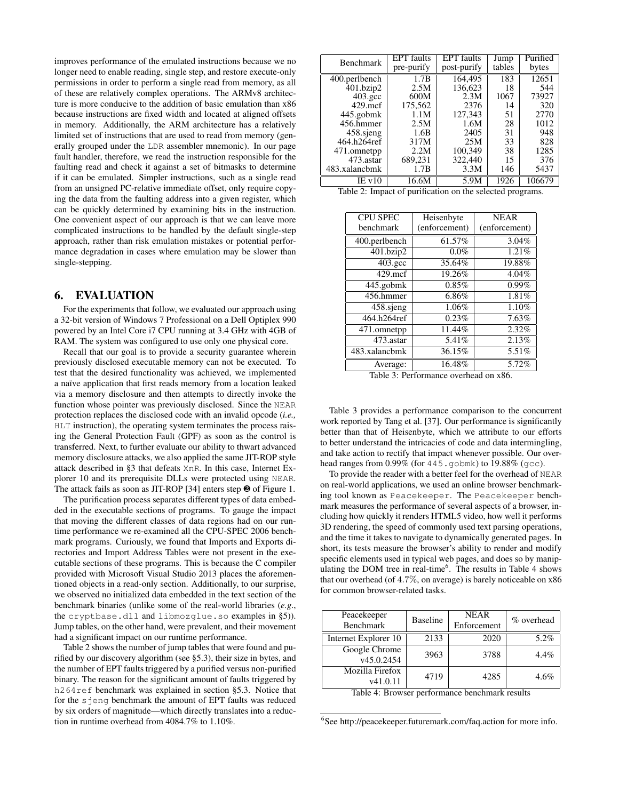improves performance of the emulated instructions because we no longer need to enable reading, single step, and restore execute-only permissions in order to perform a single read from memory, as all of these are relatively complex operations. The ARMv8 architecture is more conducive to the addition of basic emulation than x86 because instructions are fixed width and located at aligned offsets in memory. Additionally, the ARM architecture has a relatively limited set of instructions that are used to read from memory (generally grouped under the LDR assembler mnemonic). In our page fault handler, therefore, we read the instruction responsible for the faulting read and check it against a set of bitmasks to determine if it can be emulated. Simpler instructions, such as a single read from an unsigned PC-relative immediate offset, only require copying the data from the faulting address into a given register, which can be quickly determined by examining bits in the instruction. One convenient aspect of our approach is that we can leave more complicated instructions to be handled by the default single-step approach, rather than risk emulation mistakes or potential performance degradation in cases where emulation may be slower than single-stepping.

## 6. EVALUATION

For the experiments that follow, we evaluated our approach using a 32-bit version of Windows 7 Professional on a Dell Optiplex 990 powered by an Intel Core i7 CPU running at 3.4 GHz with 4GB of RAM. The system was configured to use only one physical core.

Recall that our goal is to provide a security guarantee wherein previously disclosed executable memory can not be executed. To test that the desired functionality was achieved, we implemented a naïve application that first reads memory from a location leaked via a memory disclosure and then attempts to directly invoke the function whose pointer was previously disclosed. Since the NEAR protection replaces the disclosed code with an invalid opcode (*i.e.,* HLT instruction), the operating system terminates the process raising the General Protection Fault (GPF) as soon as the control is transferred. Next, to further evaluate our ability to thwart advanced memory disclosure attacks, we also applied the same JIT-ROP style attack described in §3 that defeats XnR. In this case, Internet Explorer 10 and its prerequisite DLLs were protected using NEAR. The attack fails as soon as JIT-ROP [34] enters step ❷ of Figure 1.

The purification process separates different types of data embedded in the executable sections of programs. To gauge the impact that moving the different classes of data regions had on our runtime performance we re-examined all the CPU-SPEC 2006 benchmark programs. Curiously, we found that Imports and Exports directories and Import Address Tables were not present in the executable sections of these programs. This is because the C compiler provided with Microsoft Visual Studio 2013 places the aforementioned objects in a read-only section. Additionally, to our surprise, we observed no initialized data embedded in the text section of the benchmark binaries (unlike some of the real-world libraries (*e.g*., the cryptbase.dll and libmozglue.so examples in §5)). Jump tables, on the other hand, were prevalent, and their movement had a significant impact on our runtime performance.

Table 2 shows the number of jump tables that were found and purified by our discovery algorithm (see §5.3), their size in bytes, and the number of EPT faults triggered by a purified versus non-purified binary. The reason for the significant amount of faults triggered by h264ref benchmark was explained in section §5.3. Notice that for the sjeng benchmark the amount of EPT faults was reduced by six orders of magnitude—which directly translates into a reduction in runtime overhead from 4084.7% to 1.10%.

| <b>Benchmark</b>                                          | <b>EPT</b> faults | <b>EPT</b> faults | Jump   | Purified |
|-----------------------------------------------------------|-------------------|-------------------|--------|----------|
|                                                           | pre-purify        | post-purify       | tables | bytes    |
| 400.perlbench                                             | 1.7B              | 164.495           | 183    | 12651    |
| 401.bzip2                                                 | 2.5M              | 136,623           | 18     | 544      |
| $403.\text{gcc}$                                          | 600M              | 2.3M              | 1067   | 73927    |
| $429$ mcf                                                 | 175,562           | 2376              | 14     | 320      |
| 445.gobmk                                                 | 1.1M              | 127.343           | 51     | 2770     |
| 456.hmmer                                                 | 2.5M              | 1.6M              | 28     | 1012     |
| 458.sjeng                                                 | 1.6B              | 2405              | 31     | 948      |
| 464.h264ref                                               | 317M              | 25M               | 33     | 828      |
| 471.omnetpp                                               | 2.2M              | 100.349           | 38     | 1285     |
| 473.astar                                                 | 689,231           | 322,440           | 15     | 376      |
| 483.xalancbmk                                             | 1.7B              | 3.3M              | 146    | 5437     |
| IEv10                                                     | 16.6M             | 5.9M              | 1926   | 106679   |
| Table 2: Impact of purification on the selected programs. |                   |                   |        |          |

| <b>CPU SPEC</b>  | Heisenbyte    | <b>NEAR</b>   |
|------------------|---------------|---------------|
| benchmark        | (enforcement) | (enforcement) |
| 400.perlbench    | 61.57%        | 3.04%         |
| 401.bzip2        | $0.0\%$       | 1.21%         |
| $403.\text{gcc}$ | 35.64%        | 19.88%        |
| $429$ .mcf       | 19.26%        | 4.04%         |
| 445.gobmk        | 0.85%         | $0.99\%$      |
| 456.hmmer        | 6.86%         | 1.81%         |
| 458.sjeng        | 1.06%         | 1.10%         |
| 464.h264ref      | 0.23%         | 7.63%         |
| 471.omnetpp      | 11.44%        | 2.32%         |
| 473.astar        | 5.41%         | 2.13%         |
| 483.xalancbmk    | 36.15%        | 5.51%         |
| Average:         | 16.48%        | 5.72%         |
|                  |               | ۰.            |

Table 3: Performance overhead on x86.

Table 3 provides a performance comparison to the concurrent work reported by Tang et al. [37]. Our performance is significantly better than that of Heisenbyte, which we attribute to our efforts to better understand the intricacies of code and data intermingling, and take action to rectify that impact whenever possible. Our overhead ranges from  $0.99\%$  (for  $445$ , gobmk) to  $19.88\%$  (gcc).

To provide the reader with a better feel for the overhead of NEAR on real-world applications, we used an online browser benchmarking tool known as Peacekeeper. The Peacekeeper benchmark measures the performance of several aspects of a browser, including how quickly it renders HTML5 video, how well it performs 3D rendering, the speed of commonly used text parsing operations, and the time it takes to navigate to dynamically generated pages. In short, its tests measure the browser's ability to render and modify specific elements used in typical web pages, and does so by manipulating the DOM tree in real-time<sup>6</sup>. The results in Table 4 shows that our overhead (of 4.7%, on average) is barely noticeable on x86 for common browser-related tasks.

| Peacekeeper<br>Benchmark    | <b>Baseline</b> | <b>NEAR</b><br>Enforcement | % overhead |
|-----------------------------|-----------------|----------------------------|------------|
| Internet Explorer 10        | 2133            | 2020                       | 5.2%       |
| Google Chrome<br>v45.0.2454 | 3963            | 3788                       | $4.4\%$    |
| Mozilla Firefox<br>v41.0.11 | 4719            | 4285                       | $4.6\%$    |

Table 4: Browser performance benchmark results

6 See http://peacekeeper.futuremark.com/faq.action for more info.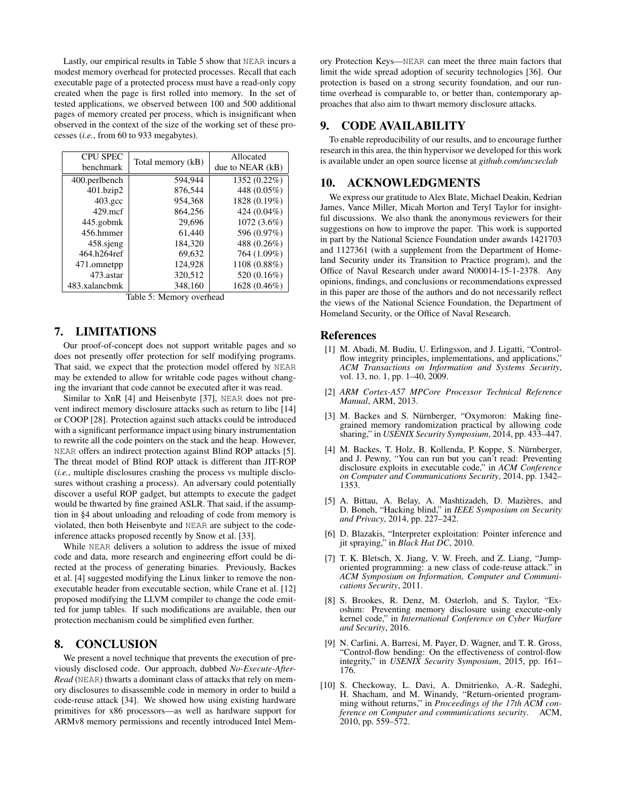Lastly, our empirical results in Table 5 show that NEAR incurs a modest memory overhead for protected processes. Recall that each executable page of a protected process must have a read-only copy created when the page is first rolled into memory. In the set of tested applications, we observed between 100 and 500 additional pages of memory created per process, which is insignificant when observed in the context of the size of the working set of these processes (*i.e.*, from 60 to 933 megabytes).

| <b>CPU SPEC</b><br>benchmark | Total memory (kB) | Allocated<br>due to NEAR (kB) |
|------------------------------|-------------------|-------------------------------|
| 400.perlbench                | 594,944           | 1352 (0.22%)                  |
| 401.bzip2                    | 876,544           | 448 (0.05%)                   |
| $403.\mathrm{gcc}$           | 954,368           | 1828 (0.19%)                  |
| $429$ .mcf                   | 864,256           | 424 (0.04%)                   |
| 445.gobmk                    | 29,696            | 1072 (3.6%)                   |
| 456.hmmer                    | 61,440            | 596 (0.97%)                   |
| 458 sjeng                    | 184,320           | 488 (0.26%)                   |
| 464.h264ref                  | 69,632            | 764 (1.09%)                   |
| 471.omnetpp                  | 124,928           | 1108 (0.88%)                  |
| 473.astar                    | 320,512           | 520 (0.16%)                   |
| 483.xalancbmk                | 348,160           | 1628 (0.46%)                  |

Table 5: Memory overhead

## 7. LIMITATIONS

Our proof-of-concept does not support writable pages and so does not presently offer protection for self modifying programs. That said, we expect that the protection model offered by NEAR may be extended to allow for writable code pages without changing the invariant that code cannot be executed after it was read.

Similar to XnR [4] and Heisenbyte [37], NEAR does not prevent indirect memory disclosure attacks such as return to libc [14] or COOP [28]. Protection against such attacks could be introduced with a significant performance impact using binary instrumentation to rewrite all the code pointers on the stack and the heap. However, NEAR offers an indirect protection against Blind ROP attacks [5]. The threat model of Blind ROP attack is different than JIT-ROP (*i.e.*, multiple disclosures crashing the process vs multiple disclosures without crashing a process). An adversary could potentially discover a useful ROP gadget, but attempts to execute the gadget would be thwarted by fine grained ASLR. That said, if the assumption in §4 about unloading and reloading of code from memory is violated, then both Heisenbyte and NEAR are subject to the codeinference attacks proposed recently by Snow et al. [33].

While NEAR delivers a solution to address the issue of mixed code and data, more research and engineering effort could be directed at the process of generating binaries. Previously, Backes et al. [4] suggested modifying the Linux linker to remove the nonexecutable header from executable section, while Crane et al. [12] proposed modifying the LLVM compiler to change the code emitted for jump tables. If such modifications are available, then our protection mechanism could be simplified even further.

## 8. CONCLUSION

We present a novel technique that prevents the execution of previously disclosed code. Our approach, dubbed *No-Execute-After-Read* (NEAR) thwarts a dominant class of attacks that rely on memory disclosures to disassemble code in memory in order to build a code-reuse attack [34]. We showed how using existing hardware primitives for x86 processors—as well as hardware support for ARMv8 memory permissions and recently introduced Intel Memory Protection Keys—NEAR can meet the three main factors that limit the wide spread adoption of security technologies [36]. Our protection is based on a strong security foundation, and our runtime overhead is comparable to, or better than, contemporary approaches that also aim to thwart memory disclosure attacks.

#### 9. CODE AVAILABILITY

To enable reproducibility of our results, and to encourage further research in this area, the thin hypervisor we developed for this work is available under an open source license at *github.com/uncseclab*

## 10. ACKNOWLEDGMENTS

We express our gratitude to Alex Blate, Michael Deakin, Kedrian James, Vance Miller, Micah Morton and Teryl Taylor for insightful discussions. We also thank the anonymous reviewers for their suggestions on how to improve the paper. This work is supported in part by the National Science Foundation under awards 1421703 and 1127361 (with a supplement from the Department of Homeland Security under its Transition to Practice program), and the Office of Naval Research under award N00014-15-1-2378. Any opinions, findings, and conclusions or recommendations expressed in this paper are those of the authors and do not necessarily reflect the views of the National Science Foundation, the Department of Homeland Security, or the Office of Naval Research.

#### References

- [1] M. Abadi, M. Budiu, U. Erlingsson, and J. Ligatti, "Controlflow integrity principles, implementations, and applications," *ACM Transactions on Information and Systems Security*, vol. 13, no. 1, pp. 1-40, 2009.
- [2] *ARM Cortex-A57 MPCore Processor Technical Reference Manual*, ARM, 2013.
- [3] M. Backes and S. Nürnberger, "Oxymoron: Making finegrained memory randomization practical by allowing code sharing," in *USENIX Security Symposium*, 2014, pp. 433–447.
- [4] M. Backes, T. Holz, B. Kollenda, P. Koppe, S. Nürnberger, and J. Pewny, "You can run but you can't read: Preventing disclosure exploits in executable code," in *ACM Conference on Computer and Communications Security*, 2014, pp. 1342– 1353.
- [5] A. Bittau, A. Belay, A. Mashtizadeh, D. Mazières, and D. Boneh, "Hacking blind," in *IEEE Symposium on Security and Privacy*, 2014, pp. 227–242.
- [6] D. Blazakis, "Interpreter exploitation: Pointer inference and jit spraying," in *Black Hat DC*, 2010.
- [7] T. K. Bletsch, X. Jiang, V. W. Freeh, and Z. Liang, "Jumporiented programming: a new class of code-reuse attack." in *ACM Symposium on Information, Computer and Communications Security*, 2011.
- [8] S. Brookes, R. Denz, M. Osterloh, and S. Taylor, "Exoshim: Preventing memory disclosure using execute-only kernel code," in *International Conference on Cyber Warfare and Security*, 2016.
- [9] N. Carlini, A. Barresi, M. Payer, D. Wagner, and T. R. Gross, "Control-flow bending: On the effectiveness of control-flow integrity," in *USENIX Security Symposium*, 2015, pp. 161– 176.
- [10] S. Checkoway, L. Davi, A. Dmitrienko, A.-R. Sadeghi, H. Shacham, and M. Winandy, "Return-oriented programming without returns," in *Proceedings of the 17th ACM conference on Computer and communications security*. ACM, 2010, pp. 559–572.